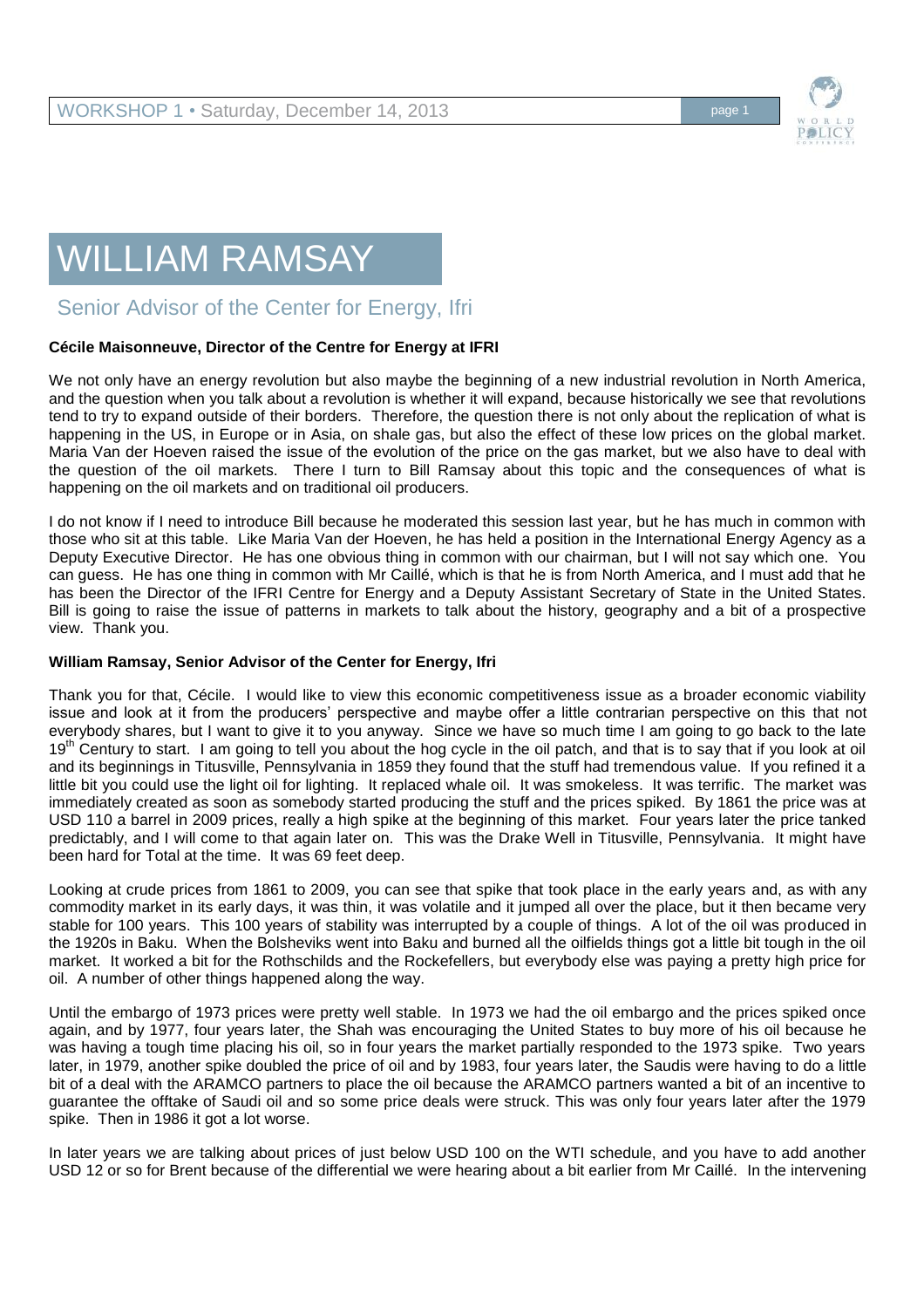

## WILLIAM RAMSAY

Senior Advisor of the Center for Energy, Ifri

## **Cécile Maisonneuve, Director of the Centre for Energy at IFRI**

We not only have an energy revolution but also maybe the beginning of a new industrial revolution in North America, and the question when you talk about a revolution is whether it will expand, because historically we see that revolutions tend to try to expand outside of their borders. Therefore, the question there is not only about the replication of what is happening in the US, in Europe or in Asia, on shale gas, but also the effect of these low prices on the global market. Maria Van der Hoeven raised the issue of the evolution of the price on the gas market, but we also have to deal with the question of the oil markets. There I turn to Bill Ramsay about this topic and the consequences of what is happening on the oil markets and on traditional oil producers.

I do not know if I need to introduce Bill because he moderated this session last year, but he has much in common with those who sit at this table. Like Maria Van der Hoeven, he has held a position in the International Energy Agency as a Deputy Executive Director. He has one obvious thing in common with our chairman, but I will not say which one. You can guess. He has one thing in common with Mr Caillé, which is that he is from North America, and I must add that he has been the Director of the IFRI Centre for Energy and a Deputy Assistant Secretary of State in the United States. Bill is going to raise the issue of patterns in markets to talk about the history, geography and a bit of a prospective view. Thank you.

## **William Ramsay, Senior Advisor of the Center for Energy, Ifri**

Thank you for that, Cécile. I would like to view this economic competitiveness issue as a broader economic viability issue and look at it from the producers' perspective and maybe offer a little contrarian perspective on this that not everybody shares, but I want to give it to you anyway. Since we have so much time I am going to go back to the late 19<sup>th</sup> Century to start. I am going to tell you about the hog cycle in the oil patch, and that is to say that if you look at oil and its beginnings in Titusville, Pennsylvania in 1859 they found that the stuff had tremendous value. If you refined it a little bit you could use the light oil for lighting. It replaced whale oil. It was smokeless. It was terrific. The market was immediately created as soon as somebody started producing the stuff and the prices spiked. By 1861 the price was at USD 110 a barrel in 2009 prices, really a high spike at the beginning of this market. Four years later the price tanked predictably, and I will come to that again later on. This was the Drake Well in Titusville, Pennsylvania. It might have been hard for Total at the time. It was 69 feet deep.

Looking at crude prices from 1861 to 2009, you can see that spike that took place in the early years and, as with any commodity market in its early days, it was thin, it was volatile and it jumped all over the place, but it then became very stable for 100 years. This 100 years of stability was interrupted by a couple of things. A lot of the oil was produced in the 1920s in Baku. When the Bolsheviks went into Baku and burned all the oilfields things got a little bit tough in the oil market. It worked a bit for the Rothschilds and the Rockefellers, but everybody else was paying a pretty high price for oil. A number of other things happened along the way.

Until the embargo of 1973 prices were pretty well stable. In 1973 we had the oil embargo and the prices spiked once again, and by 1977, four years later, the Shah was encouraging the United States to buy more of his oil because he was having a tough time placing his oil, so in four years the market partially responded to the 1973 spike. Two years later, in 1979, another spike doubled the price of oil and by 1983, four years later, the Saudis were having to do a little bit of a deal with the ARAMCO partners to place the oil because the ARAMCO partners wanted a bit of an incentive to guarantee the offtake of Saudi oil and so some price deals were struck. This was only four years later after the 1979 spike. Then in 1986 it got a lot worse.

In later years we are talking about prices of just below USD 100 on the WTI schedule, and you have to add another USD 12 or so for Brent because of the differential we were hearing about a bit earlier from Mr Caillé. In the intervening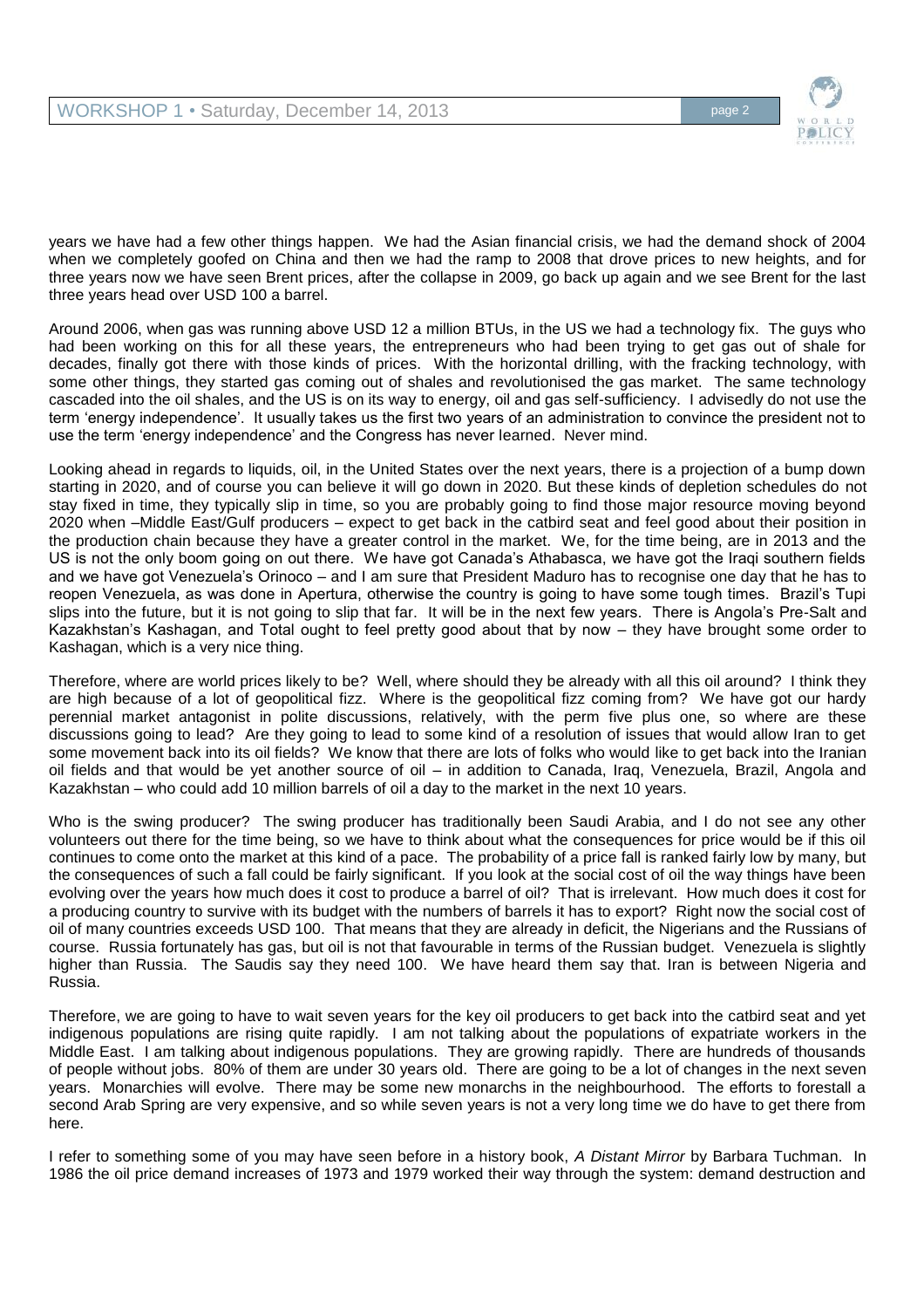

years we have had a few other things happen. We had the Asian financial crisis, we had the demand shock of 2004 when we completely goofed on China and then we had the ramp to 2008 that drove prices to new heights, and for three years now we have seen Brent prices, after the collapse in 2009, go back up again and we see Brent for the last three years head over USD 100 a barrel.

Around 2006, when gas was running above USD 12 a million BTUs, in the US we had a technology fix. The guys who had been working on this for all these years, the entrepreneurs who had been trying to get gas out of shale for decades, finally got there with those kinds of prices. With the horizontal drilling, with the fracking technology, with some other things, they started gas coming out of shales and revolutionised the gas market. The same technology cascaded into the oil shales, and the US is on its way to energy, oil and gas self-sufficiency. I advisedly do not use the term 'energy independence'. It usually takes us the first two years of an administration to convince the president not to use the term 'energy independence' and the Congress has never learned. Never mind.

Looking ahead in regards to liquids, oil, in the United States over the next years, there is a projection of a bump down starting in 2020, and of course you can believe it will go down in 2020. But these kinds of depletion schedules do not stay fixed in time, they typically slip in time, so you are probably going to find those major resource moving beyond 2020 when –Middle East/Gulf producers – expect to get back in the catbird seat and feel good about their position in the production chain because they have a greater control in the market. We, for the time being, are in 2013 and the US is not the only boom going on out there. We have got Canada's Athabasca, we have got the Iraqi southern fields and we have got Venezuela's Orinoco – and I am sure that President Maduro has to recognise one day that he has to reopen Venezuela, as was done in Apertura, otherwise the country is going to have some tough times. Brazil's Tupi slips into the future, but it is not going to slip that far. It will be in the next few years. There is Angola's Pre-Salt and Kazakhstan's Kashagan, and Total ought to feel pretty good about that by now – they have brought some order to Kashagan, which is a very nice thing.

Therefore, where are world prices likely to be? Well, where should they be already with all this oil around? I think they are high because of a lot of geopolitical fizz. Where is the geopolitical fizz coming from? We have got our hardy perennial market antagonist in polite discussions, relatively, with the perm five plus one, so where are these discussions going to lead? Are they going to lead to some kind of a resolution of issues that would allow Iran to get some movement back into its oil fields? We know that there are lots of folks who would like to get back into the Iranian oil fields and that would be yet another source of oil – in addition to Canada, Iraq, Venezuela, Brazil, Angola and Kazakhstan – who could add 10 million barrels of oil a day to the market in the next 10 years.

Who is the swing producer? The swing producer has traditionally been Saudi Arabia, and I do not see any other volunteers out there for the time being, so we have to think about what the consequences for price would be if this oil continues to come onto the market at this kind of a pace. The probability of a price fall is ranked fairly low by many, but the consequences of such a fall could be fairly significant. If you look at the social cost of oil the way things have been evolving over the years how much does it cost to produce a barrel of oil? That is irrelevant. How much does it cost for a producing country to survive with its budget with the numbers of barrels it has to export? Right now the social cost of oil of many countries exceeds USD 100. That means that they are already in deficit, the Nigerians and the Russians of course. Russia fortunately has gas, but oil is not that favourable in terms of the Russian budget. Venezuela is slightly higher than Russia. The Saudis say they need 100. We have heard them say that. Iran is between Nigeria and Russia.

Therefore, we are going to have to wait seven years for the key oil producers to get back into the catbird seat and yet indigenous populations are rising quite rapidly. I am not talking about the populations of expatriate workers in the Middle East. I am talking about indigenous populations. They are growing rapidly. There are hundreds of thousands of people without jobs. 80% of them are under 30 years old. There are going to be a lot of changes in the next seven years. Monarchies will evolve. There may be some new monarchs in the neighbourhood. The efforts to forestall a second Arab Spring are very expensive, and so while seven years is not a very long time we do have to get there from here.

I refer to something some of you may have seen before in a history book, *A Distant Mirror* by Barbara Tuchman. In 1986 the oil price demand increases of 1973 and 1979 worked their way through the system: demand destruction and